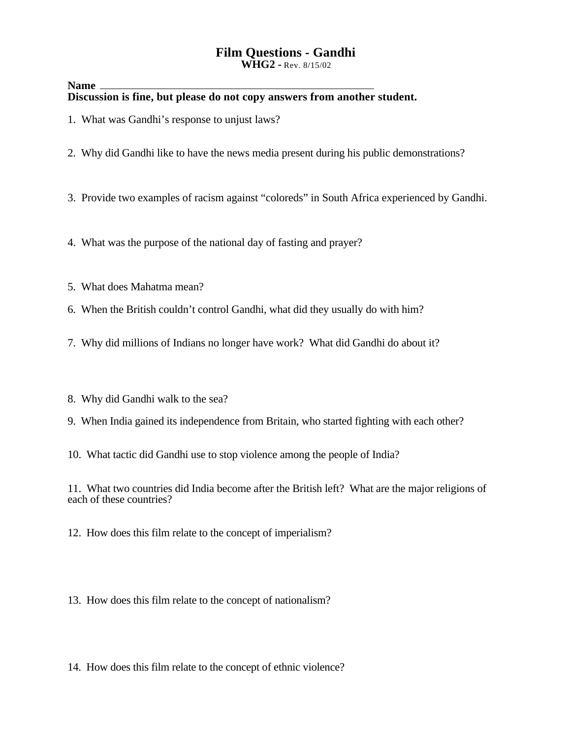# **Film Questions - Gandhi**

**WHG2 -** Rev. 8/15/02

#### **Name Discussion is fine, but please do not copy answers from another student.**

- 1. What was Gandhi's response to unjust laws?
- 2. Why did Gandhi like to have the news media present during his public demonstrations?

3. Provide two examples of racism against "coloreds" in South Africa experienced by Gandhi.

4. What was the purpose of the national day of fasting and prayer?

- 5. What does Mahatma mean?
- 6. When the British couldn't control Gandhi, what did they usually do with him?
- 7. Why did millions of Indians no longer have work? What did Gandhi do about it?
- 8. Why did Gandhi walk to the sea?
- 9. When India gained its independence from Britain, who started fighting with each other?
- 10. What tactic did Gandhi use to stop violence among the people of India?

11. What two countries did India become after the British left? What are the major religions of each of these countries?

12. How does this film relate to the concept of imperialism?

13. How does this film relate to the concept of nationalism?

14. How does this film relate to the concept of ethnic violence?